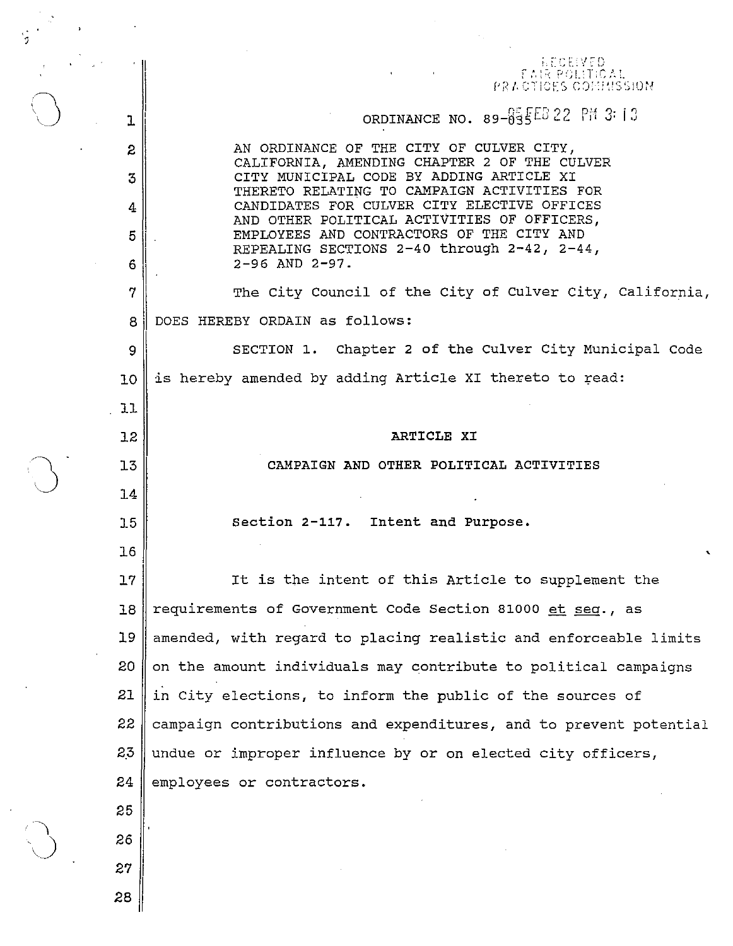RECEIVED EAIR POLITICAL PRACTICES CONTRISSION ORDINANCE NO.  $89-\sqrt{65}$ <sub>5</sub> $E5$  22 PM 3:13 1 AN ORDINANCE OF THE CITY OF CULVER CITY, 2 CALIFORNIA, AMENDING CHAPTER 2 OF THE CULVER 3 CITY MUNICIPAL CODE BY ADDING ARTICLE XI THERETO RELATING TO CAMPAIGN ACTIVITIES FOR CANDIDATES FOR CULVER CITY ELECTIVE OFFICES 4 AND OTHER POLITICAL ACTIVITIES OF OFFICERS, EMPLOYEES AND CONTRACTORS OF THE CITY AND 5 REPEALING SECTIONS 2-40 through 2-42, 2-44, 2-96 AND 2-97. 6  $7 \parallel$  The City Council of the City of Culver City, California, 8 DOES HEREBY ORDAIN as follows: 9 SECTION 1. Chapter 2 of the Culver City Municipal Code  $10$  is hereby amended by adding Article XI thereto to read: 11 12 ARTICLE XI 13 CAMPAIGN AND OTHER POLITICAL ACTIVITIES 14 15 Section 2-117. Intent and Purpose.  $\overline{\phantom{a}}$ 16 17 It is the intent of this Article to supplement the 18 requirements of Government Code Section 81000 et seq., as 19 amended, with regard to placing realistic and enforceable limits  $20$  on the amount individuals may contribute to political campaigns  $21$  || in City elections, to inform the public of the sources of  $22$  campaign contributions and expenditures, and to prevent potential  $2.3$  undue or improper influence by or on elected city officers, 24 employees or contractors. 25 26 27 28

 $\bigcirc$ 

]-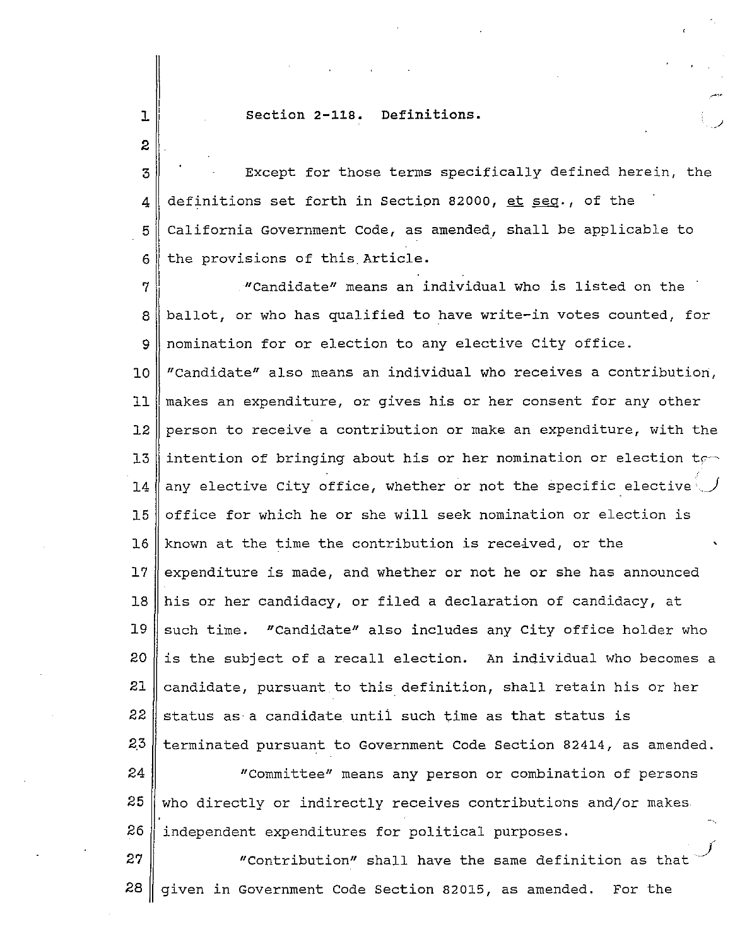## $\begin{array}{c} \mathbf{1} \ \mathbf{2} \end{array}$  section 2-118. Definitions.

3 Except for those terms specifically defined herein, the 4 definitions set forth in Section 82000, et seg., of the  $5$  California Government Code, as amended, shall be applicable to  $6$ | the provisions of this Article.

 $7$   $\parallel$   $\blacksquare$  "Candidate" means an individual who is listed on the  $8$ | ballot, or who has qualified to have write-in votes counted, for 9 nomination for or election to any elective City office. 10 "Candidate" also means an individual who receives a contribution, 11 makes an expenditure, or gives his or her consent for any other 12 person to receive a contribution or make an expenditure, with the 13 || intention of bringing about his or her nomination or election to 14 any elective City office, whether or not the specific elective 15 || office for which he or she will seek nomination or election is 16 Known at the time the contribution is received, or the 17 expenditure is made, and whether or not he or she has announced 18 his or her candidacy, or filed a declaration of candidacy, at  $19$  such time. "Candidate" also includes any City office holder who 20 || is the subject of a recall election. An individual who becomes a 21 candidate, pursuant to this definition, shall retain his or her  $22$  status as a candidate until such time as that status is 2.3 terminated pursuant to Government Code Section 82414, as amended. 24 "Committee" means any person or combination of persons  $25$  who directly or indirectly receives contributions and/or makes 26 | independent expenditures for political purposes.  $27$   $\parallel$   $\blacksquare$   $\blacksquare$   $\blacksquare$   $\blacksquare$   $\blacksquare$   $\blacksquare$   $\blacksquare$   $\blacksquare$   $\blacksquare$   $\blacksquare$   $\blacksquare$   $\blacksquare$   $\blacksquare$   $\blacksquare$   $\blacksquare$   $\blacksquare$   $\blacksquare$   $\blacksquare$   $\blacksquare$   $\blacksquare$   $\blacksquare$   $\blacksquare$   $\blacksquare$   $\blacksquare$   $\blacksquare$   $\blacksquare$   $\blacksquare$   $\blacksquare$   $\blacksquare$   $\blacksquare$ 

28  $\parallel$  given in Government Code Section 82015, as amended. For the

 $\mathbf{I}$ I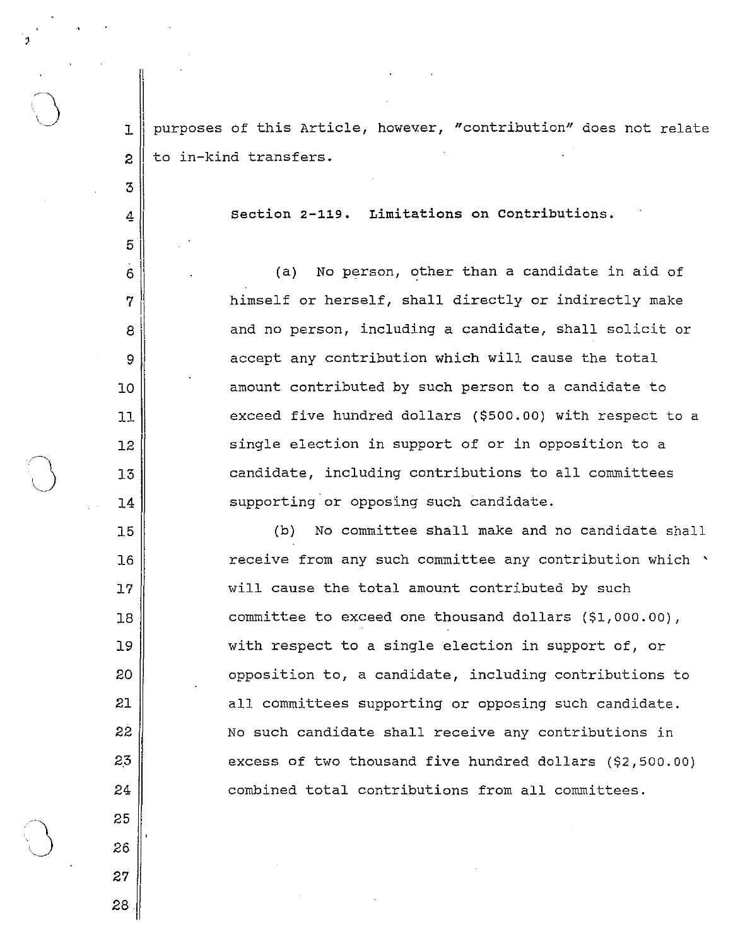$\begin{array}{|l|} \hline \texttt{\texttt{purpose}}\texttt{ of this Article, however, "contribution" does not relate} \hline \end{array}$  $\mathbf T$  $\overline{2}$ to in-kind transfers.

31

4

 $\cdot \parallel$  $6 \,$ 

7

8  $\vert$ II <sup>9</sup>I

10

11

12

13

14

15

16

17

18

19

20

21

22

2.3

24

25

26

27

28

section **2-119.** Limitations on Contributions.

(a) No person, other than a candidate in aid of himself or herself, shall directly or indirectly make and no person, including a candidate, shall solicit or accept any contribution which will cause the total amount contributed by such person to a candidate to exceed five hundred dollars (\$500.00) with respect to a single election in support of or in opposition to a candidate, including contributions to all committees supporting or opposing such candidate.

(b) No committee shall make and no candidate shall receive from any such committee any contribution Which ' will cause the total amount contributed by such committee to exceed one thousand dollars (\$1,000.00), with respect to a single election in support of, or opposition to, a candidate, including contributions to all committees supporting or opposing such candidate, No such candidate shall receive any contributions in excess of two thousand five hundred dollars (\$2,500,00) combined total contributions from all committees.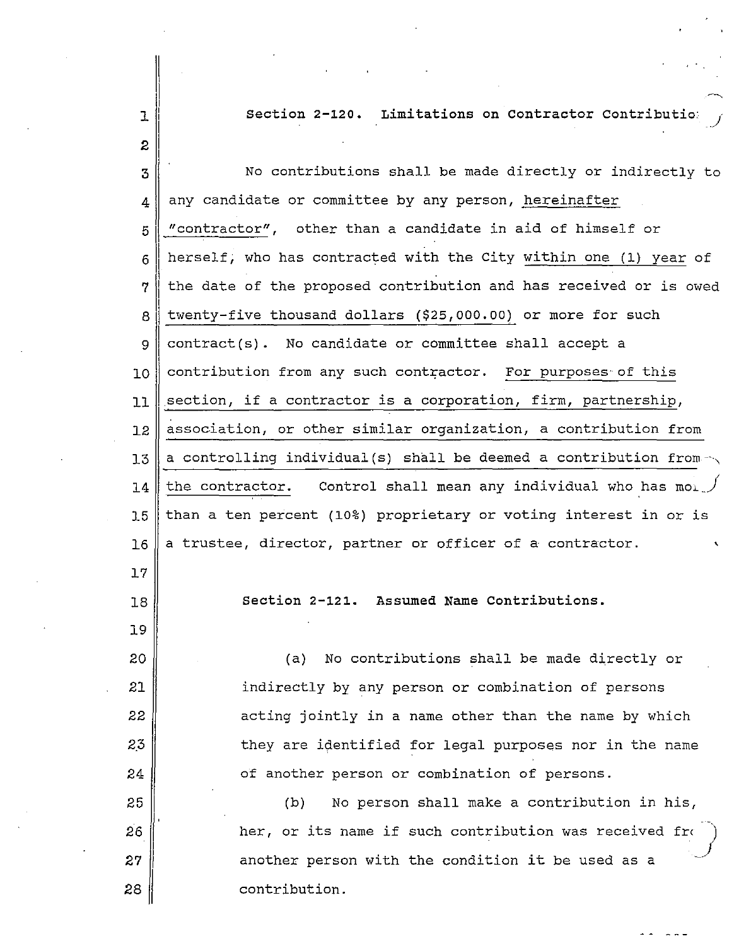1 Section 2-120. Limitations on Contractor Contributio:

3 No contributions shall be made directly or indirectly to  $_4$  any candidate or committee by any person, hereinafter  $5$   $\parallel$  "contractor", other than a candidate in aid of himself or  $6$  | herself; who has contracted with the City within one (1) year of II 7 I the date of the proposed contribution and has received or is owed  $8$ | twenty-five thousand dollars (\$25,000.00) or more for such  $9 \parallel$  contract(s). No candidate or committee shall accept a  $10$  contribution from any such contractor. For purposes of this 11 section, if a contractor is a corporation, firm, partnership, 12 || association, or other similar organization, a contribution from 13  $\parallel$  a controlling individual(s) shall be deemed a contribution from  $\sim$ 14 the contractor. Control shall mean any individual who has mol.  $15$  than a ten percent (10%) proprietary or voting interest in or is  $16 \parallel a$  trustee, director, partner or officer of a contractor. 17 18 section 2-121. Assumed Name Contributions.

2

19

20

21

22

2.3

24

25

(a) No contributions shall be made directly or indirectly by any person or combination of persons acting jointly in a name other than the name by which they are identified for legal purposes nor in the name of another person or combination of persons. (b) No person shall make a contribution in his,

26 27 28 her, or its name if such contribution was received from another person with the condition it be used as a contribution.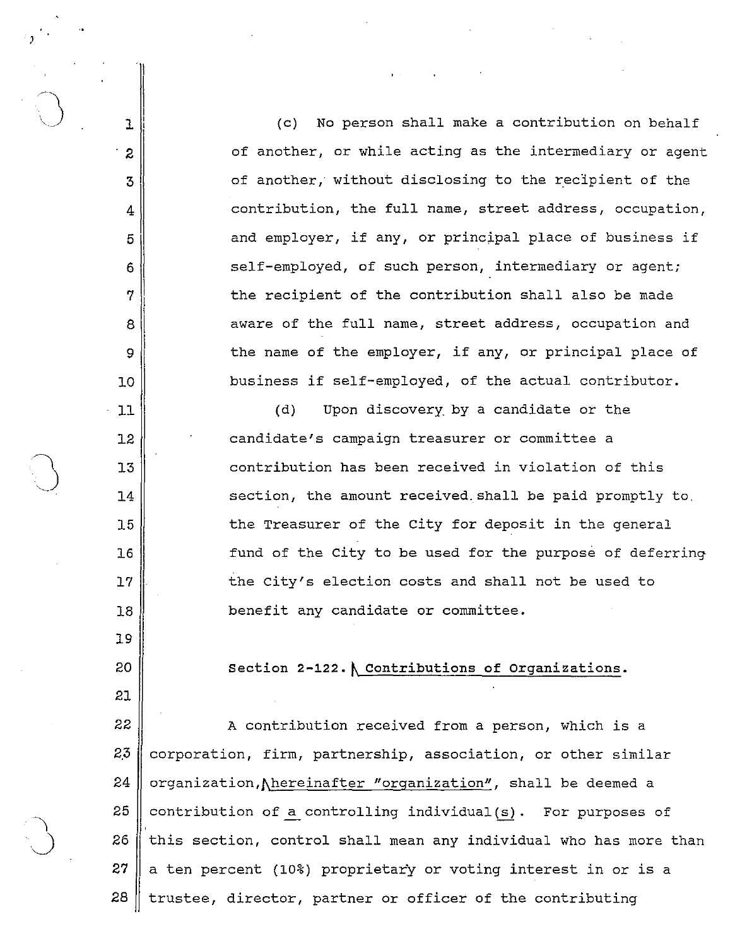(c) No person shall make a contribution on behalf of another, or while acting as the intermediary or agent of another, without disclosing to the recipient of the contribution, the full name, street address, occupation, and employer, if any, or principal place of business if self-employed, of such person, intermediary or agent; the recipient of the contribution shall also be made aware of the full name, street address, occupation and the name of the employer, if any, or principal place of business if self-employed, of the actual contributor.

( d) Upon discovery by a candidate or the candidate's campaign treasurer or committee a contribution has been received in violation of this section, the amount received. shall be paid promptly to. the Treasurer of the city for deposit in the general fund of the city to be used for the purpose of deferring the city's election costs and shall not be used to benefit any candidate or committee.

Section 2-122. \ Contributions of Organizations.

22 ||<br>
A contribution received from a person, which is a  $2.3$  corporation, firm, partnership, association, or other similar 24 | organization, hereinafter "organization", shall be deemed a  $25$  contribution of a controlling individual (s). For purposes of 26  $\parallel$  this section, control shall mean any individual who has more than  $27 \parallel a$  ten percent (10%) proprietary or voting interest in or is a 28  $\parallel$  trustee, director, partner or officer of the contributing

11 12

13

15

16

17

18

19

20

10

3

ı

 $\boldsymbol{z}$ 

4

5

6

7

8

9

)

14

- 21
-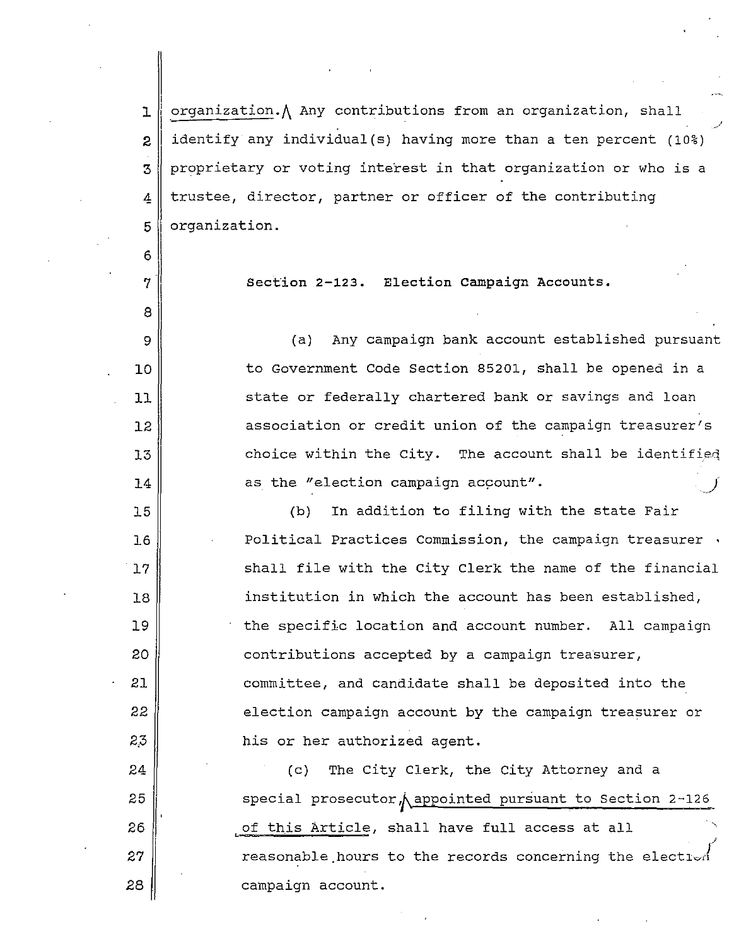1 2 3 4 5 .organization.A Any contributions from an organization, shall identify any individual(s) having more than a ten percent (10%) proprietary or voting interest in that organization or who is a trustee, director, partner or officer of the contributing organization.

section **2-123.** Election campaign Accounts.

6

8

9

10

11

12

13

14

15

16

17

18

19

20

21

22

2,3

24

25

 $26$ 

27

28

 $\begin{array}{c} \n7 \end{array}$ 

(a) Any campaign bank account established pursuant to Government Code section 85201, shall be opened in a state or federally chartered bank or savings and loan association or credit union of the campaign treasurer's choice within the City. The account shall be identifieq as the "election campaign account".

(b) In addition to filing with the state Fair Political Practices Commission, the campaign treasurer. shall file with the city Clerk the name of the financial institution in which the account has been established, the specific location and account number. All campaign contributions accepted by a campaign treasurer, committee, and candidate shall be deposited into the election campaign account by the campaign treasurer or his or her authorized agent.

I (c) The city Clerk, the City Attorney and a special prosecutor *Aappointed pursuant to Section 2-126* of this Article, shall have full access at all reasonable hours to the records concerning the electlor campaign account.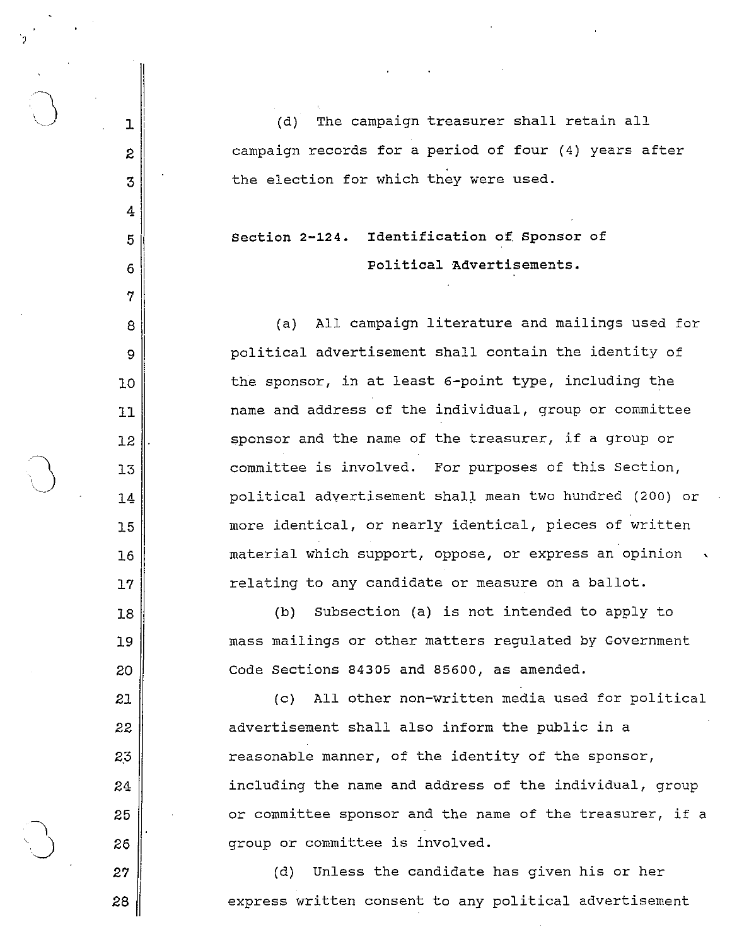(d) The campaign treasurer shall retain all campaign records for a period of four (4) years after the election for which they were used.

## section **2-124.** Identification of. sponsor of Political Advertisements.

(a) All campaign literature and mailings used for political advertisement shall contain the identity of the sponsor, in at least 6-point type, including the name and address of the individual, group or committee sponsor and the name of the treasurer, if a group or committee is involved. For purposes of this section, political advertisement shal~ mean two hundred (200) or more identical, or nearly identical, pieces of written material which support, oppose, or express an opinion relating to any candidate or measure on a ballot.

(b) Subsection (a) is not intended to apply to mass mailings or other matters regulated by Government Code Sections 84305 and 85600, as amended.

(c) All other non-written media used for political advertisement shall also inform the public in a reasonable manner, of the identity of the sponsor, including the name and address of the individual, group or committee sponsor and the name of the treasurer, if a group or committee is involved.

(d) Unless the candidate has given his or her express written consent to any political advertisement

28

27

 $\bigcup$  1

2

3

4

5

6

7

8

9

10

11

12

14

15

16

17

18

19

20

21

22

2.3

24

25

 $\overline{\phantom{a}}$ 

 $\bigcup$  26

 $\setminus$  13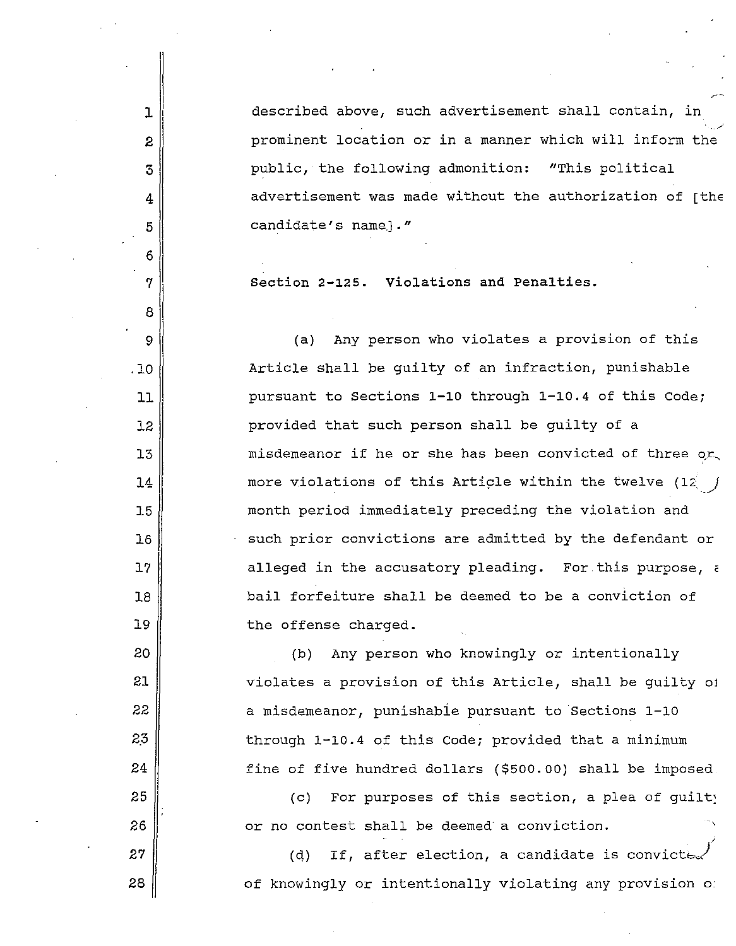described above, such advertisement shall contain, in prominent location or in a manner which will inform the public, the following admonition: "This political advertisement was made without the authorization of  $[$ th $\epsilon$ candidate's name.)."

section 2-125. Violations and Penalties.

1

2

3

4

5

6

7

8

9

,10

11

12

13

14

15

16

17

18

19

20

21

22

2,3

24

25

26

27

28

(a) Any person who violates a provision of this Article shall be guilty of an infraction, punishable pursuant to sections 1-10 through 1-10.4 of this Code; provided that such person shall be guilty of a misdemeanor if he or she has been convicted of three  $o$ r more violations of this Article within the twelve  $(12)$ month period immediately preceding the violation and such prior convictions are admitted by the defendant or alleged in the accusatory pleading. For.this purpose, c bail forfeiture shall be deemed to be a conviction of the offense charged.

(b) Any person who knowingly or intentionally violates a provision of this Article, shall be guilty oj a misdemeanor, punishabie pursuant to sections 1-10 through 1-10.4 of this Code; provided that a minimum fine of five hundred dollars (\$500.00) shall be imposed

(c) For purposes of this section, a plea of guilty or no contest shall be deemed a conviction.

(d) If, after election, a candidate is convicte. of knowingly or intentionally violating any provision of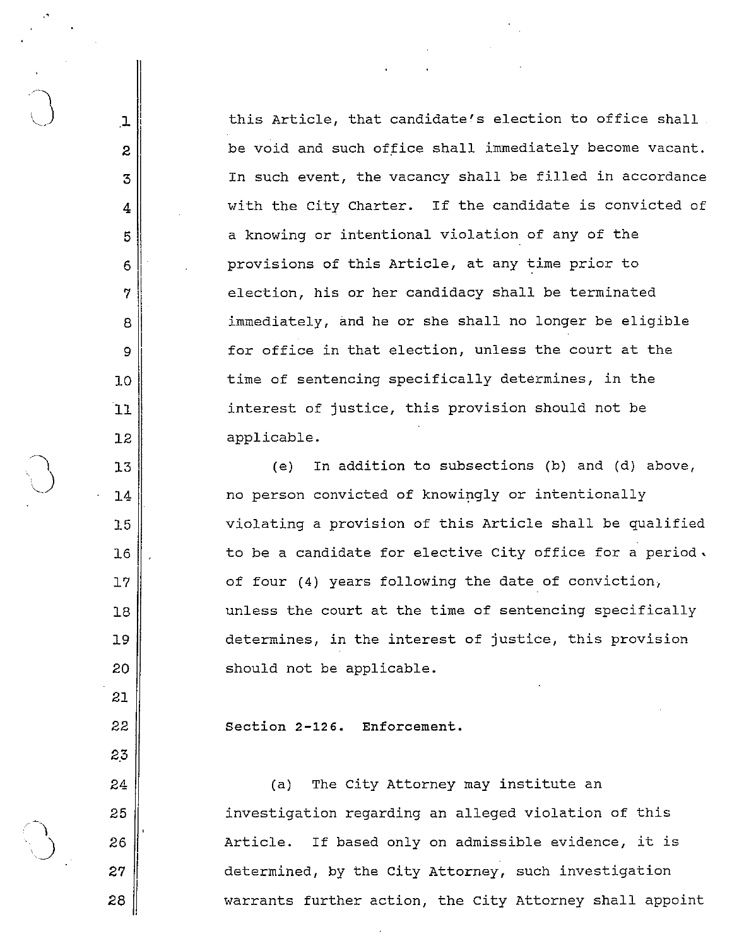$1~$  ........ this Article, that candidate's election to office shall  $2 \parallel$  be void and such office shall immediately become vacant. 3 In such event, the vacancy shall be filled in accordance  $4$   $\parallel$  with the City Charter. If the candidate is convicted of 5 a knowing or intentional violation of any of the  $6$  provisions of this Article, at any time prior to 7 election, his or her candidacy shall be terminated 8 immediately, and he or she shall no longer be eligible  $9 \parallel$  for office in that election, unless the court at the 10 I time of sentencing specifically determines, in the 11 interest of justice, this provision should not be 12 applicable.

(e) In addition to subsections (b) and (d) above, no person convicted of knowingly or intentionally 15 violating a provision of this Article shall be qualified  $16$   $\parallel$  to be a candidate for elective City office for a period. 17 || cf four (4) years following the date of conviction, 18 unless the court at the time of sentencing specifically 19 determines, in the interest of justice, this provision 20 || Should not be applicable.

22 section **2-126.** Enforcement.

, '

~1 13

21

2.3

 $\bigcup$  14

24 (a) The City Attorney may institute an 25 investigation regarding an alleged violation of this  $26$   $\parallel$  26 Article. If based only on admissible evidence, it is 27 | determined, by the City Attorney, such investigation 28 || warrants further action, the City Attorney shall appoint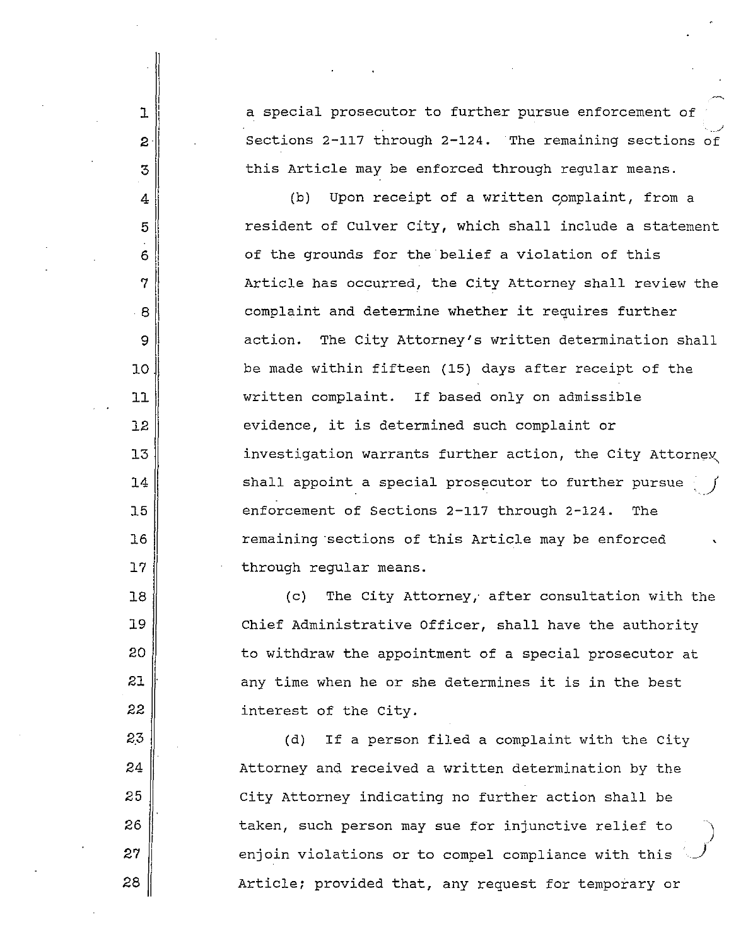a special prosecutor to further pursue enforcement of .J sections 2-117 through 2-124. The remaining sections of this Article may be enforced through regular means.

1

2

3

4

5

61

91

10

11

12

13

14

15

16

17

18

19

20

21

22

2,3

24

25

26

27

28

 $\eta \parallel$ j 81

(b) Upon receipt of a written complaint, from a resident of Culver City, which shall include a statement of the grounds for the belief a violation of this Article has occurred, the city Attorney shall review the complaint and determine whether it requires further action. The city Attorney's written determination shall be made within fifteen (15) days after receipt of the written complaint. If based only on admissible evidence, it is determined such complaint or investigation warrants further action, the City Attorney shall appoint a special prosecutor to further pursue enforcement of sections 2-117 through 2-124. The remaining 'sections of this Article may be enforced through regular means. J ,

(c) The City Attorney,' after consultation with the chief Administrative Officer, shall have the authority to withdraw the appointment of a special prosecutor at any time when he or she determines it is in the best interest of the city.

(d) If a person filed a complaint with the City Attorney and received a written determination by the City Attorney indicating no further action shall be taken, such person may sue for injunctive relief to enjoin violations or to compel compliance with this Article; provided that, any request for temporary or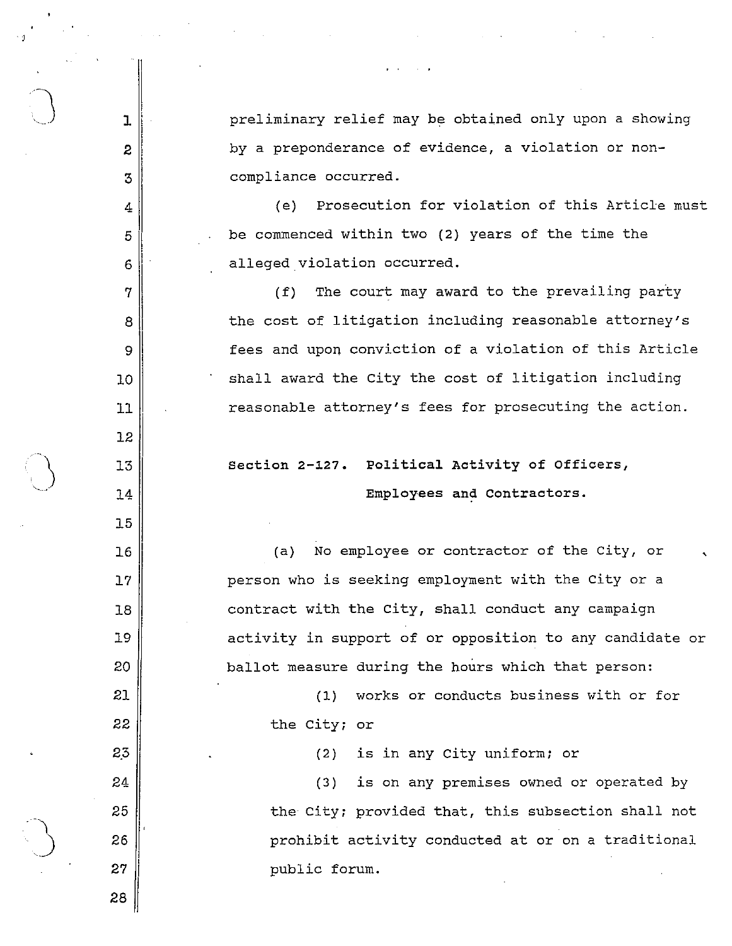preliminary relief may be obtained only upon a showing by a preponderance of evidence, a violation or noncompliance occurred.

(e) Prosecution for violation of this Article must be commenced within two (2) years of the time the alleged violation occurred.

(f) The court may award to the prevailing party the cost of litigation including reasonable attorney's fees and upon conviction of a violation of this Article shall award the city the cost of litigation including reasonable attorney's fees for prosecuting the action.

section 2-127. political Activity of Officers, Employees and Contractors.

(a) No employee or contractor of the City, or person who is seeking employment with the City or a contract with the city, shall conduct any campaign  $\lambda$ activity in support of or opposition to any candidate or ballot measure during the hours which that person:

(1) works or conducts business with or for the city; or

(2) is in any city uniform; or

(3) is on any premises owned or operated by the City; provided that, this subsection shall not prohibit activity conducted at or on a traditional public forum.

26 27

28

 $\mathbf{I}$ 

 $\mathbf{2}$ 

3

4

5

6

 $\gamma$ 

8

9

 $10$ 

 $11$ 

 $12$ 

13

 $74$ 

 $15$ 

 $76$ 

 $17$ 

 $18$ 

19

20

21

22

23

24

25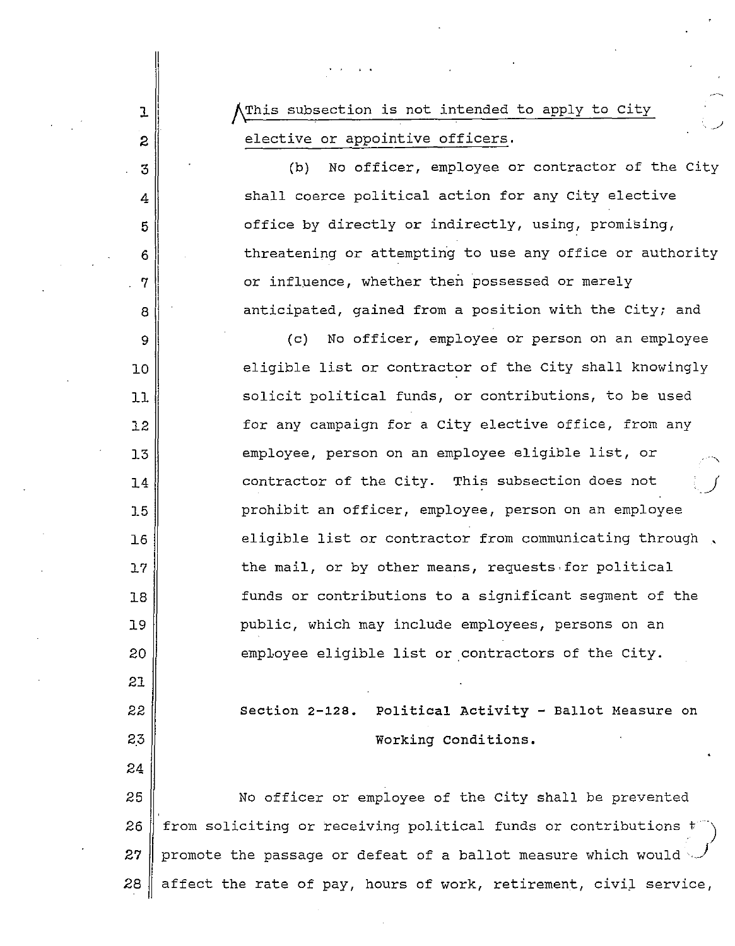This subsection is not intended to apply to City elective or appointive officers.

J.

2

3

4

5

6

7

8

9

10

11

12

13

14

15

16

17

18

19

20

21

22

2,3

24

(b) No officer, employee or contractor of the city shall coerce political action for any city elective office by directly or indirectly, using, promising, threatening or attempting to use any office or authority or influence, whether then possessed or merely anticipated, gained from a position with the city; and

(c) No officer, employee or person on an employee eligible list or contractor of the city shall knowingly solicit political funds, or contributions, to be used for any campaign for a city elective office, from any employee, person on an employee eligible list, or contractor of the City. This subsection does not prohibit an officer, employee, person on an employee eligible list or contractor from communicating through , the mail, or by other means, requests for political funds or contributions to a significant segment of the public, which may include employees, persons on an employee eligible list or contractors of the City.

section 2-128. Political Activity - Ballot Measure on Working Conditions.

25 26 27 No officer or employee of the City shall be prevented from soliciting or receiving political funds or contributions t promote the passage or defeat of a ballot measure which would)  $28$  affect the rate of pay, hours of work, retirement, civil service,